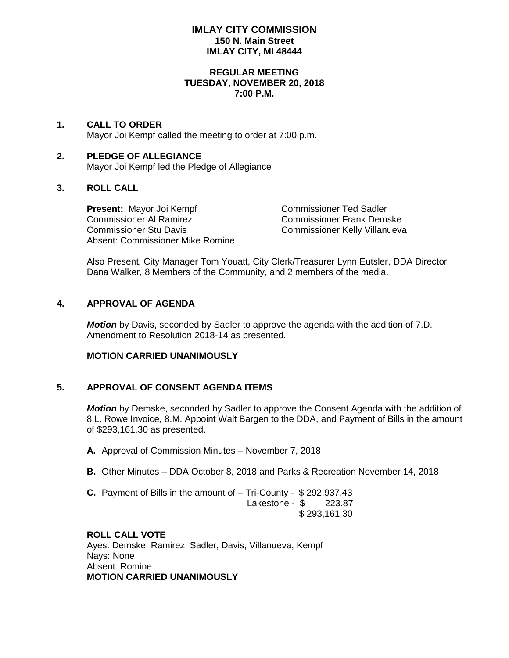### **IMLAY CITY COMMISSION 150 N. Main Street IMLAY CITY, MI 48444**

#### **REGULAR MEETING TUESDAY, NOVEMBER 20, 2018 7:00 P.M.**

## **1. CALL TO ORDER**

Mayor Joi Kempf called the meeting to order at 7:00 p.m.

## **2. PLEDGE OF ALLEGIANCE** Mayor Joi Kempf led the Pledge of Allegiance

## **3. ROLL CALL**

**Present:** Mayor Joi Kempf Commissioner Ted Sadler<br>Commissioner Al Ramirez Commissioner Frank Dems Commissioner Stu Davis Commissioner Kelly Villanueva Absent: Commissioner Mike Romine

Commissioner Frank Demske

Also Present, City Manager Tom Youatt, City Clerk/Treasurer Lynn Eutsler, DDA Director Dana Walker, 8 Members of the Community, and 2 members of the media.

### **4. APPROVAL OF AGENDA**

*Motion* by Davis, seconded by Sadler to approve the agenda with the addition of 7.D. Amendment to Resolution 2018-14 as presented.

### **MOTION CARRIED UNANIMOUSLY**

## **5. APPROVAL OF CONSENT AGENDA ITEMS**

*Motion* by Demske, seconded by Sadler to approve the Consent Agenda with the addition of 8.L. Rowe Invoice, 8.M. Appoint Walt Bargen to the DDA, and Payment of Bills in the amount of \$293,161.30 as presented.

- **A.** Approval of Commission Minutes November 7, 2018
- **B.** Other Minutes DDA October 8, 2018 and Parks & Recreation November 14, 2018
- **C.** Payment of Bills in the amount of Tri-County \$ 292,937.43 Lakestone - \$ 223.87 \$ 293,161.30

### **ROLL CALL VOTE** Ayes: Demske, Ramirez, Sadler, Davis, Villanueva, Kempf Nays: None Absent: Romine **MOTION CARRIED UNANIMOUSLY**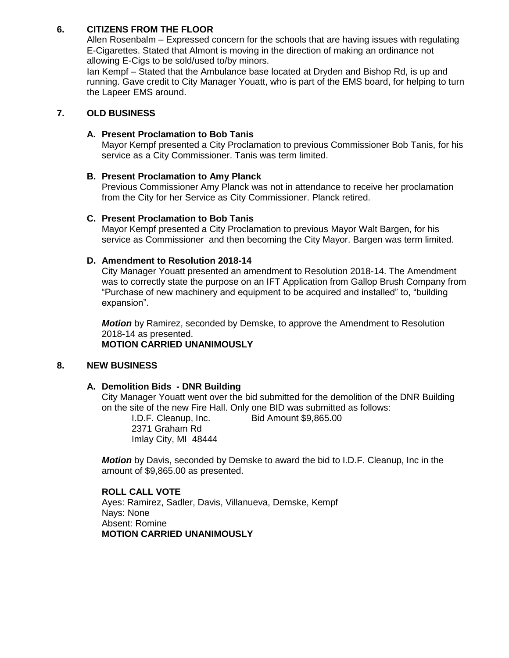# **6. CITIZENS FROM THE FLOOR**

Allen Rosenbalm – Expressed concern for the schools that are having issues with regulating E-Cigarettes. Stated that Almont is moving in the direction of making an ordinance not allowing E-Cigs to be sold/used to/by minors.

Ian Kempf – Stated that the Ambulance base located at Dryden and Bishop Rd, is up and running. Gave credit to City Manager Youatt, who is part of the EMS board, for helping to turn the Lapeer EMS around.

## **7. OLD BUSINESS**

### **A. Present Proclamation to Bob Tanis**

Mayor Kempf presented a City Proclamation to previous Commissioner Bob Tanis, for his service as a City Commissioner. Tanis was term limited.

## **B. Present Proclamation to Amy Planck**

Previous Commissioner Amy Planck was not in attendance to receive her proclamation from the City for her Service as City Commissioner. Planck retired.

### **C. Present Proclamation to Bob Tanis**

Mayor Kempf presented a City Proclamation to previous Mayor Walt Bargen, for his service as Commissioner and then becoming the City Mayor. Bargen was term limited.

# **D. Amendment to Resolution 2018-14**

City Manager Youatt presented an amendment to Resolution 2018-14. The Amendment was to correctly state the purpose on an IFT Application from Gallop Brush Company from "Purchase of new machinery and equipment to be acquired and installed" to, "building expansion".

*Motion* by Ramirez, seconded by Demske, to approve the Amendment to Resolution 2018-14 as presented. **MOTION CARRIED UNANIMOUSLY**

#### **8. NEW BUSINESS**

## **A. Demolition Bids - DNR Building**

City Manager Youatt went over the bid submitted for the demolition of the DNR Building on the site of the new Fire Hall. Only one BID was submitted as follows:

I.D.F. Cleanup, Inc. Bid Amount \$9,865.00 2371 Graham Rd Imlay City, MI 48444

*Motion* by Davis, seconded by Demske to award the bid to I.D.F. Cleanup, Inc in the amount of \$9,865.00 as presented.

## **ROLL CALL VOTE**

Ayes: Ramirez, Sadler, Davis, Villanueva, Demske, Kempf Nays: None Absent: Romine **MOTION CARRIED UNANIMOUSLY**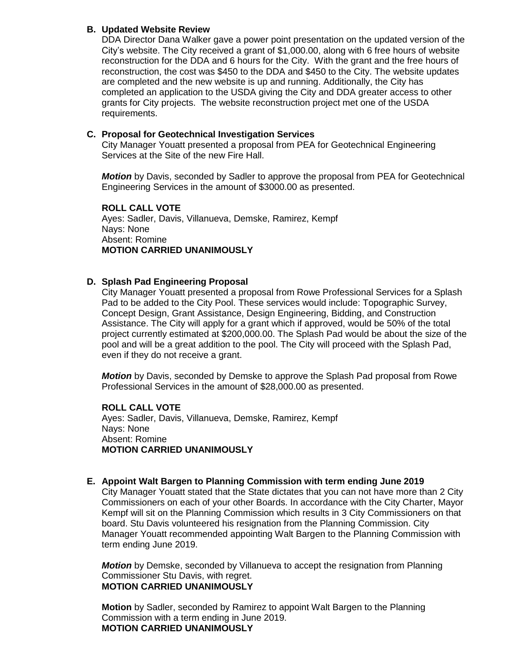## **B. Updated Website Review**

DDA Director Dana Walker gave a power point presentation on the updated version of the City's website. The City received a grant of \$1,000.00, along with 6 free hours of website reconstruction for the DDA and 6 hours for the City. With the grant and the free hours of reconstruction, the cost was \$450 to the DDA and \$450 to the City. The website updates are completed and the new website is up and running. Additionally, the City has completed an application to the USDA giving the City and DDA greater access to other grants for City projects. The website reconstruction project met one of the USDA requirements.

### **C. Proposal for Geotechnical Investigation Services**

City Manager Youatt presented a proposal from PEA for Geotechnical Engineering Services at the Site of the new Fire Hall.

*Motion* by Davis, seconded by Sadler to approve the proposal from PEA for Geotechnical Engineering Services in the amount of \$3000.00 as presented.

#### **ROLL CALL VOTE**

Ayes: Sadler, Davis, Villanueva, Demske, Ramirez, Kempf Nays: None Absent: Romine **MOTION CARRIED UNANIMOUSLY**

## **D. Splash Pad Engineering Proposal**

City Manager Youatt presented a proposal from Rowe Professional Services for a Splash Pad to be added to the City Pool. These services would include: Topographic Survey, Concept Design, Grant Assistance, Design Engineering, Bidding, and Construction Assistance. The City will apply for a grant which if approved, would be 50% of the total project currently estimated at \$200,000.00. The Splash Pad would be about the size of the pool and will be a great addition to the pool. The City will proceed with the Splash Pad, even if they do not receive a grant.

*Motion* by Davis, seconded by Demske to approve the Splash Pad proposal from Rowe Professional Services in the amount of \$28,000.00 as presented.

**ROLL CALL VOTE** Ayes: Sadler, Davis, Villanueva, Demske, Ramirez, Kempf Nays: None Absent: Romine **MOTION CARRIED UNANIMOUSLY**

# **E. Appoint Walt Bargen to Planning Commission with term ending June 2019**

City Manager Youatt stated that the State dictates that you can not have more than 2 City Commissioners on each of your other Boards. In accordance with the City Charter, Mayor Kempf will sit on the Planning Commission which results in 3 City Commissioners on that board. Stu Davis volunteered his resignation from the Planning Commission. City Manager Youatt recommended appointing Walt Bargen to the Planning Commission with term ending June 2019.

*Motion* by Demske, seconded by Villanueva to accept the resignation from Planning Commissioner Stu Davis, with regret. **MOTION CARRIED UNANIMOUSLY**

**Motion** by Sadler, seconded by Ramirez to appoint Walt Bargen to the Planning Commission with a term ending in June 2019. **MOTION CARRIED UNANIMOUSLY**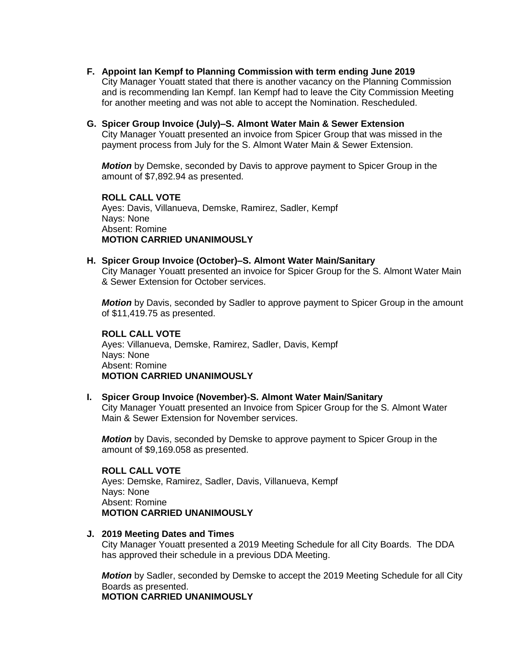- **F. Appoint Ian Kempf to Planning Commission with term ending June 2019** City Manager Youatt stated that there is another vacancy on the Planning Commission and is recommending Ian Kempf. Ian Kempf had to leave the City Commission Meeting for another meeting and was not able to accept the Nomination. Rescheduled.
- **G. Spicer Group Invoice (July)–S. Almont Water Main & Sewer Extension**  City Manager Youatt presented an invoice from Spicer Group that was missed in the payment process from July for the S. Almont Water Main & Sewer Extension.

*Motion* by Demske, seconded by Davis to approve payment to Spicer Group in the amount of \$7,892.94 as presented.

**ROLL CALL VOTE** Ayes: Davis, Villanueva, Demske, Ramirez, Sadler, Kempf Nays: None Absent: Romine **MOTION CARRIED UNANIMOUSLY**

#### **H. Spicer Group Invoice (October)–S. Almont Water Main/Sanitary**

City Manager Youatt presented an invoice for Spicer Group for the S. Almont Water Main & Sewer Extension for October services.

*Motion* by Davis, seconded by Sadler to approve payment to Spicer Group in the amount of \$11,419.75 as presented.

## **ROLL CALL VOTE**

Ayes: Villanueva, Demske, Ramirez, Sadler, Davis, Kempf Nays: None Absent: Romine **MOTION CARRIED UNANIMOUSLY**

#### **I. Spicer Group Invoice (November)-S. Almont Water Main/Sanitary**

City Manager Youatt presented an Invoice from Spicer Group for the S. Almont Water Main & Sewer Extension for November services.

*Motion* by Davis, seconded by Demske to approve payment to Spicer Group in the amount of \$9,169.058 as presented.

#### **ROLL CALL VOTE**

Ayes: Demske, Ramirez, Sadler, Davis, Villanueva, Kempf Nays: None Absent: Romine **MOTION CARRIED UNANIMOUSLY**

#### **J. 2019 Meeting Dates and Times**

City Manager Youatt presented a 2019 Meeting Schedule for all City Boards. The DDA has approved their schedule in a previous DDA Meeting.

*Motion* by Sadler, seconded by Demske to accept the 2019 Meeting Schedule for all City Boards as presented.

**MOTION CARRIED UNANIMOUSLY**